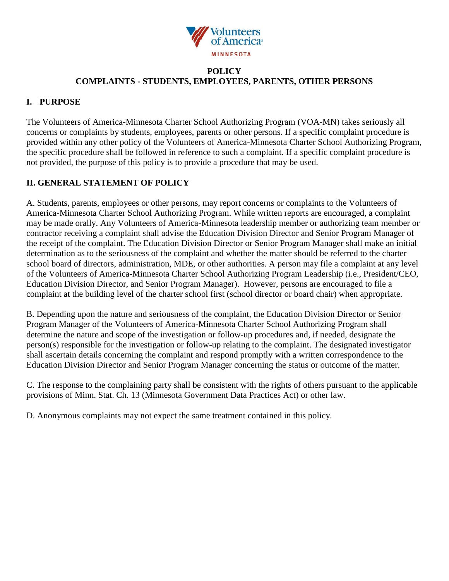

## **POLICY COMPLAINTS - STUDENTS, EMPLOYEES, PARENTS, OTHER PERSONS**

## **I. PURPOSE**

The Volunteers of America-Minnesota Charter School Authorizing Program (VOA-MN) takes seriously all concerns or complaints by students, employees, parents or other persons. If a specific complaint procedure is provided within any other policy of the Volunteers of America-Minnesota Charter School Authorizing Program, the specific procedure shall be followed in reference to such a complaint. If a specific complaint procedure is not provided, the purpose of this policy is to provide a procedure that may be used.

# **II. GENERAL STATEMENT OF POLICY**

A. Students, parents, employees or other persons, may report concerns or complaints to the Volunteers of America-Minnesota Charter School Authorizing Program. While written reports are encouraged, a complaint may be made orally. Any Volunteers of America-Minnesota leadership member or authorizing team member or contractor receiving a complaint shall advise the Education Division Director and Senior Program Manager of the receipt of the complaint. The Education Division Director or Senior Program Manager shall make an initial determination as to the seriousness of the complaint and whether the matter should be referred to the charter school board of directors, administration, MDE, or other authorities. A person may file a complaint at any level of the Volunteers of America-Minnesota Charter School Authorizing Program Leadership (i.e., President/CEO, Education Division Director, and Senior Program Manager). However, persons are encouraged to file a complaint at the building level of the charter school first (school director or board chair) when appropriate.

B. Depending upon the nature and seriousness of the complaint, the Education Division Director or Senior Program Manager of the Volunteers of America-Minnesota Charter School Authorizing Program shall determine the nature and scope of the investigation or follow-up procedures and, if needed, designate the person(s) responsible for the investigation or follow-up relating to the complaint. The designated investigator shall ascertain details concerning the complaint and respond promptly with a written correspondence to the Education Division Director and Senior Program Manager concerning the status or outcome of the matter.

C. The response to the complaining party shall be consistent with the rights of others pursuant to the applicable provisions of Minn. Stat. Ch. 13 (Minnesota Government Data Practices Act) or other law.

D. Anonymous complaints may not expect the same treatment contained in this policy.